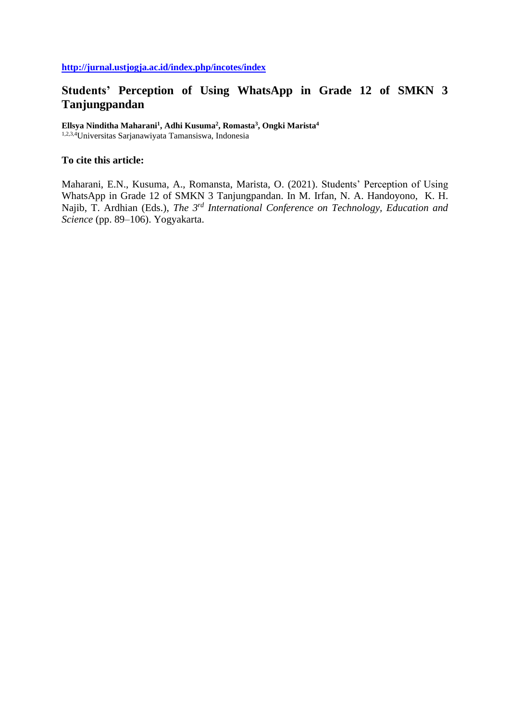# **Students' Perception of Using WhatsApp in Grade 12 of SMKN 3 Tanjungpandan**

**Ellsya Ninditha Maharani<sup>1</sup> , Adhi Kusuma<sup>2</sup> , Romasta<sup>3</sup> , Ongki Marista<sup>4</sup>**

1,2,3,4Universitas Sarjanawiyata Tamansiswa, Indonesia

## **To cite this article:**

Maharani, E.N., Kusuma, A., Romansta, Marista, O. (2021). Students' Perception of Using WhatsApp in Grade 12 of SMKN 3 Tanjungpandan. In M. Irfan, N. A. Handoyono, K. H. Najib, T. Ardhian (Eds.), *The 3rd International Conference on Technology, Education and Science* (pp. 89–106). Yogyakarta.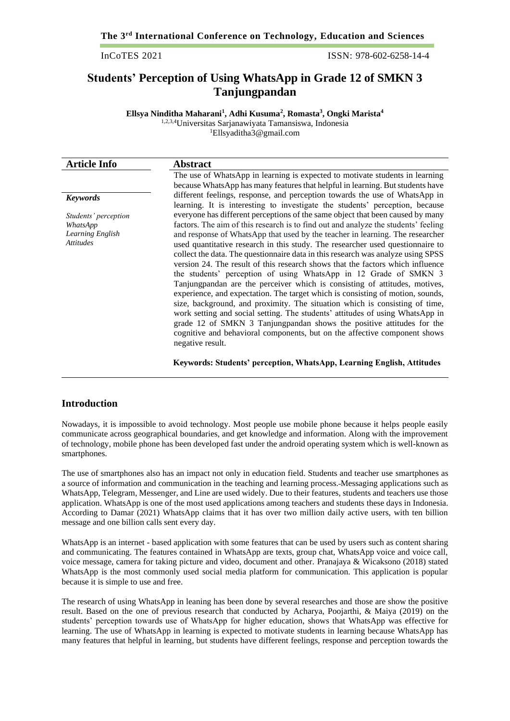InCoTES 2021 ISSN: 978-602-6258-14-4

## **Students' Perception of Using WhatsApp in Grade 12 of SMKN 3 Tanjungpandan**

**Ellsya Ninditha Maharani<sup>1</sup> , Adhi Kusuma<sup>2</sup> , Romasta<sup>3</sup> , Ongki Marista<sup>4</sup>** 1,2,3,4Universitas Sarjanawiyata Tamansiswa, Indonesia <sup>1</sup>Ellsyaditha3@gmail.com

| <b>Article Info</b>                                                      | Abstract                                                                                                                                                                                                                                                                                                                                                                                                                                                                                                                                                                                                                                                                                                                                                                                                                                                                                                                                                                                                                                                                                    |
|--------------------------------------------------------------------------|---------------------------------------------------------------------------------------------------------------------------------------------------------------------------------------------------------------------------------------------------------------------------------------------------------------------------------------------------------------------------------------------------------------------------------------------------------------------------------------------------------------------------------------------------------------------------------------------------------------------------------------------------------------------------------------------------------------------------------------------------------------------------------------------------------------------------------------------------------------------------------------------------------------------------------------------------------------------------------------------------------------------------------------------------------------------------------------------|
|                                                                          | The use of WhatsApp in learning is expected to motivate students in learning<br>because WhatsApp has many features that helpful in learning. But students have                                                                                                                                                                                                                                                                                                                                                                                                                                                                                                                                                                                                                                                                                                                                                                                                                                                                                                                              |
| <b>Keywords</b>                                                          | different feelings, response, and perception towards the use of WhatsApp in<br>learning. It is interesting to investigate the students' perception, because                                                                                                                                                                                                                                                                                                                                                                                                                                                                                                                                                                                                                                                                                                                                                                                                                                                                                                                                 |
| Students' perception<br>WhatsApp<br>Learning English<br><b>Attitudes</b> | everyone has different perceptions of the same object that been caused by many<br>factors. The aim of this research is to find out and analyze the students' feeling<br>and response of WhatsApp that used by the teacher in learning. The researcher<br>used quantitative research in this study. The researcher used questionnaire to<br>collect the data. The questionnaire data in this research was analyze using SPSS<br>version 24. The result of this research shows that the factors which influence<br>the students' perception of using WhatsApp in 12 Grade of SMKN 3<br>Tanjungpandan are the perceiver which is consisting of attitudes, motives,<br>experience, and expectation. The target which is consisting of motion, sounds,<br>size, background, and proximity. The situation which is consisting of time,<br>work setting and social setting. The students' attitudes of using WhatsApp in<br>grade 12 of SMKN 3 Tanjungpandan shows the positive attitudes for the<br>cognitive and behavioral components, but on the affective component shows<br>negative result. |

#### **Keywords: Students' perception, WhatsApp, Learning English, Attitudes**

#### **Introduction**

Nowadays, it is impossible to avoid technology. Most people use mobile phone because it helps people easily communicate across geographical boundaries, and get knowledge and information. Along with the improvement of technology, mobile phone has been developed fast under the android operating system which is well-known as smartphones.

The use of smartphones also has an impact not only in education field. Students and teacher use smartphones as a source of information and communication in the teaching and learning process. Messaging applications such as WhatsApp, Telegram, Messenger, and Line are used widely. Due to their features, students and teachers use those application. WhatsApp is one of the most used applications among teachers and students these days in Indonesia. According to Damar (2021) WhatsApp claims that it has over two million daily active users, with ten billion message and one billion calls sent every day.

WhatsApp is an internet - based application with some features that can be used by users such as content sharing and communicating. The features contained in WhatsApp are texts, group chat, WhatsApp voice and voice call, voice message, camera for taking picture and video, document and other. Pranajaya & Wicaksono (2018) stated WhatsApp is the most commonly used social media platform for communication. This application is popular because it is simple to use and free.

The research of using WhatsApp in leaning has been done by several researches and those are show the positive result. Based on the one of previous research that conducted by Acharya, Poojarthi, & Maiya (2019) on the students' perception towards use of WhatsApp for higher education, shows that WhatsApp was effective for learning. The use of WhatsApp in learning is expected to motivate students in learning because WhatsApp has many features that helpful in learning, but students have different feelings, response and perception towards the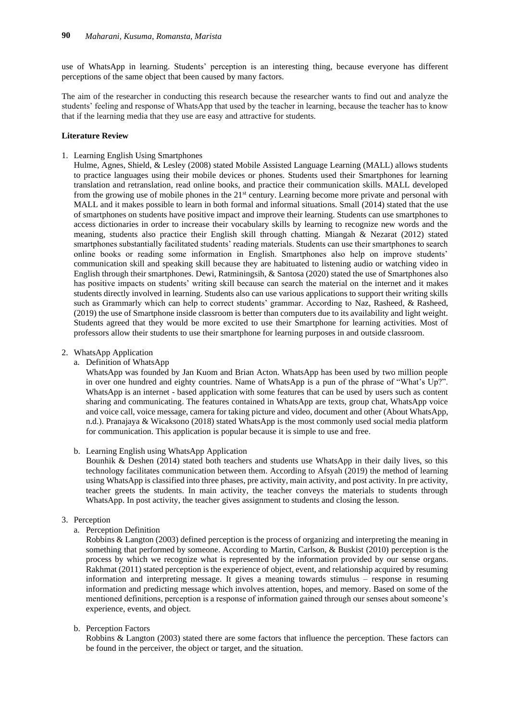use of WhatsApp in learning. Students' perception is an interesting thing, because everyone has different perceptions of the same object that been caused by many factors.

The aim of the researcher in conducting this research because the researcher wants to find out and analyze the students' feeling and response of WhatsApp that used by the teacher in learning, because the teacher has to know that if the learning media that they use are easy and attractive for students.

#### **Literature Review**

1. Learning English Using Smartphones

Hulme, Agnes, Shield, & Lesley (2008) stated Mobile Assisted Language Learning (MALL) allows students to practice languages using their mobile devices or phones. Students used their Smartphones for learning translation and retranslation, read online books, and practice their communication skills. MALL developed from the growing use of mobile phones in the 21<sup>st</sup> century. Learning become more private and personal with MALL and it makes possible to learn in both formal and informal situations. Small (2014) stated that the use of smartphones on students have positive impact and improve their learning. Students can use smartphones to access dictionaries in order to increase their vocabulary skills by learning to recognize new words and the meaning, students also practice their English skill through chatting. Miangah & Nezarat (2012) stated smartphones substantially facilitated students' reading materials. Students can use their smartphones to search online books or reading some information in English. Smartphones also help on improve students' communication skill and speaking skill because they are habituated to listening audio or watching video in English through their smartphones. Dewi, Ratminingsih, & Santosa (2020) stated the use of Smartphones also has positive impacts on students' writing skill because can search the material on the internet and it makes students directly involved in learning. Students also can use various applications to support their writing skills such as Grammarly which can help to correct students' grammar. According to Naz, Rasheed, & Rasheed, (2019) the use of Smartphone inside classroom is better than computers due to its availability and light weight. Students agreed that they would be more excited to use their Smartphone for learning activities. Most of professors allow their students to use their smartphone for learning purposes in and outside classroom.

#### 2. WhatsApp Application

a. Definition of WhatsApp

WhatsApp was founded by Jan Kuom and Brian Acton. WhatsApp has been used by two million people in over one hundred and eighty countries. Name of WhatsApp is a pun of the phrase of "What's Up?". WhatsApp is an internet - based application with some features that can be used by users such as content sharing and communicating. The features contained in WhatsApp are texts, group chat, WhatsApp voice and voice call, voice message, camera for taking picture and video, document and other (About WhatsApp, n.d.). Pranajaya & Wicaksono (2018) stated WhatsApp is the most commonly used social media platform for communication. This application is popular because it is simple to use and free.

#### b. Learning English using WhatsApp Application

Bounhik & Deshen (2014) stated both teachers and students use WhatsApp in their daily lives, so this technology facilitates communication between them. According to Afsyah (2019) the method of learning using WhatsApp is classified into three phases, pre activity, main activity, and post activity. In pre activity, teacher greets the students. In main activity, the teacher conveys the materials to students through WhatsApp. In post activity, the teacher gives assignment to students and closing the lesson.

#### 3. Perception

a. Perception Definition

Robbins & Langton (2003) defined perception is the process of organizing and interpreting the meaning in something that performed by someone. According to Martin, Carlson, & Buskist (2010) perception is the process by which we recognize what is represented by the information provided by our sense organs. Rakhmat (2011) stated perception is the experience of object, event, and relationship acquired by resuming information and interpreting message. It gives a meaning towards stimulus – response in resuming information and predicting message which involves attention, hopes, and memory. Based on some of the mentioned definitions, perception is a response of information gained through our senses about someone's experience, events, and object.

b. Perception Factors

Robbins & Langton (2003) stated there are some factors that influence the perception. These factors can be found in the perceiver, the object or target, and the situation.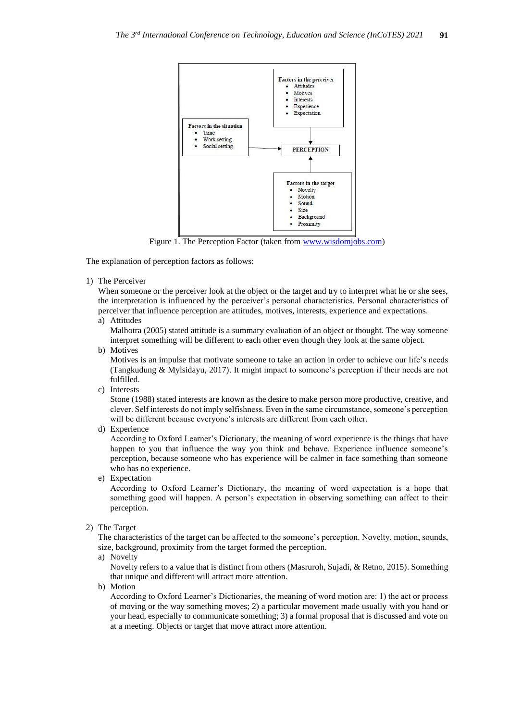

Figure 1. The Perception Factor (taken fro[m www.wisdomjobs.com\)](http://www.wisdomjobs.com/)

The explanation of perception factors as follows:

1) The Perceiver

When someone or the perceiver look at the object or the target and try to interpret what he or she sees, the interpretation is influenced by the perceiver's personal characteristics. Personal characteristics of perceiver that influence perception are attitudes, motives, interests, experience and expectations.

a) Attitudes

Malhotra (2005) stated attitude is a summary evaluation of an object or thought. The way someone interpret something will be different to each other even though they look at the same object.

b) Motives

Motives is an impulse that motivate someone to take an action in order to achieve our life's needs (Tangkudung & Mylsidayu, 2017). It might impact to someone's perception if their needs are not fulfilled.

c) Interests

Stone (1988) stated interests are known as the desire to make person more productive, creative, and clever. Self interests do not imply selfishness. Even in the same circumstance, someone's perception will be different because everyone's interests are different from each other.

d) Experience

According to Oxford Learner's Dictionary, the meaning of word experience is the things that have happen to you that influence the way you think and behave. Experience influence someone's perception, because someone who has experience will be calmer in face something than someone who has no experience.

e) Expectation

According to Oxford Learner's Dictionary, the meaning of word expectation is a hope that something good will happen. A person's expectation in observing something can affect to their perception.

2) The Target

The characteristics of the target can be affected to the someone's perception. Novelty, motion, sounds, size, background, proximity from the target formed the perception.

a) Novelty

Novelty refers to a value that is distinct from others (Masruroh, Sujadi, & Retno, 2015). Something that unique and different will attract more attention.

b) Motion

According to Oxford Learner's Dictionaries, the meaning of word motion are: 1) the act or process of moving or the way something moves; 2) a particular movement made usually with you hand or your head, especially to communicate something; 3) a formal proposal that is discussed and vote on at a meeting. Objects or target that move attract more attention.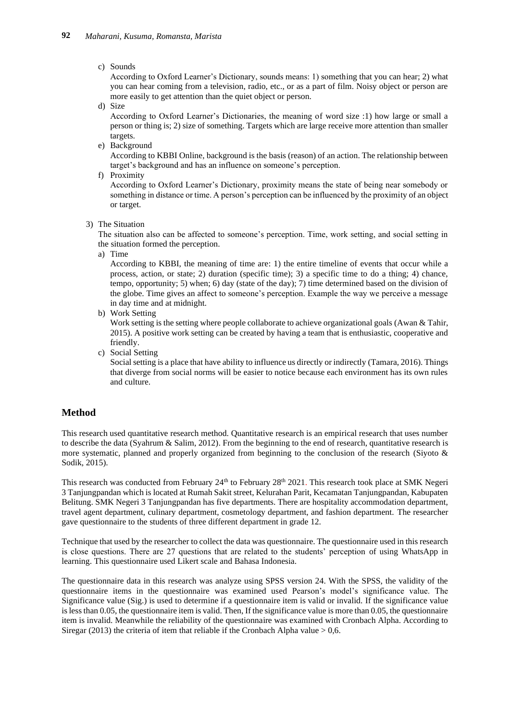#### c) Sounds

According to Oxford Learner's Dictionary, sounds means: 1) something that you can hear; 2) what you can hear coming from a television, radio, etc., or as a part of film. Noisy object or person are more easily to get attention than the quiet object or person.

d) Size

According to Oxford Learner's Dictionaries, the meaning of word size :1) how large or small a person or thing is; 2) size of something. Targets which are large receive more attention than smaller targets.

e) Background

According to KBBI Online, background is the basis (reason) of an action. The relationship between target's background and has an influence on someone's perception.

f) Proximity

According to Oxford Learner's Dictionary, proximity means the state of being near somebody or something in distance or time. A person's perception can be influenced by the proximity of an object or target.

3) The Situation

The situation also can be affected to someone's perception. Time, work setting, and social setting in the situation formed the perception.

a) Time

According to KBBI, the meaning of time are: 1) the entire timeline of events that occur while a process, action, or state; 2) duration (specific time); 3) a specific time to do a thing; 4) chance, tempo, opportunity; 5) when; 6) day (state of the day); 7) time determined based on the division of the globe. Time gives an affect to someone's perception. Example the way we perceive a message in day time and at midnight.

b) Work Setting

Work setting is the setting where people collaborate to achieve organizational goals (Awan & Tahir, 2015). A positive work setting can be created by having a team that is enthusiastic, cooperative and friendly.

c) Social Setting

Social setting is a place that have ability to influence us directly or indirectly (Tamara, 2016). Things that diverge from social norms will be easier to notice because each environment has its own rules and culture.

## **Method**

This research used quantitative research method. Quantitative research is an empirical research that uses number to describe the data (Syahrum & Salim, 2012). From the beginning to the end of research, quantitative research is more systematic, planned and properly organized from beginning to the conclusion of the research (Siyoto & Sodik, 2015).

This research was conducted from February 24<sup>th</sup> to February 28<sup>th</sup> 2021. This research took place at SMK Negeri 3 Tanjungpandan which is located at Rumah Sakit street, Kelurahan Parit, Kecamatan Tanjungpandan, Kabupaten Belitung. SMK Negeri 3 Tanjungpandan has five departments. There are hospitality accommodation department, travel agent department, culinary department, cosmetology department, and fashion department. The researcher gave questionnaire to the students of three different department in grade 12.

Technique that used by the researcher to collect the data was questionnaire. The questionnaire used in this research is close questions. There are 27 questions that are related to the students' perception of using WhatsApp in learning. This questionnaire used Likert scale and Bahasa Indonesia.

The questionnaire data in this research was analyze using SPSS version 24. With the SPSS, the validity of the questionnaire items in the questionnaire was examined used Pearson's model's significance value. The Significance value (Sig.) is used to determine if a questionnaire item is valid or invalid. If the significance value is less than 0.05, the questionnaire item is valid. Then, If the significance value is more than 0.05, the questionnaire item is invalid. Meanwhile the reliability of the questionnaire was examined with Cronbach Alpha. According to Siregar (2013) the criteria of item that reliable if the Cronbach Alpha value  $> 0.6$ .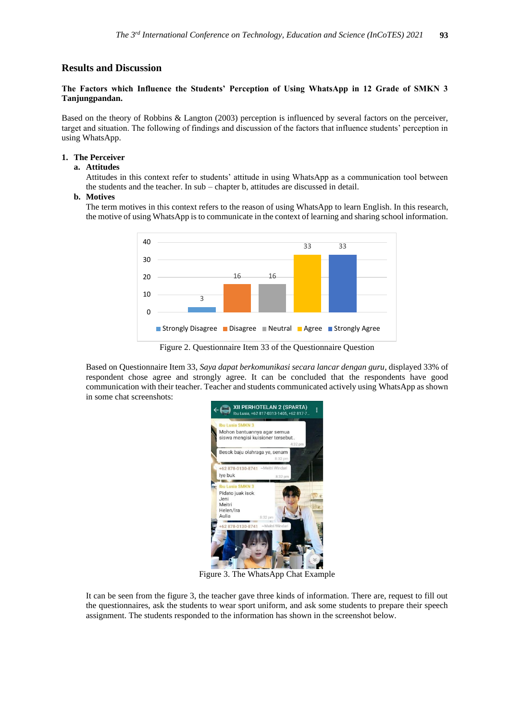## **Results and Discussion**

## **The Factors which Influence the Students' Perception of Using WhatsApp in 12 Grade of SMKN 3 Tanjungpandan.**

Based on the theory of Robbins & Langton (2003) perception is influenced by several factors on the perceiver, target and situation. The following of findings and discussion of the factors that influence students' perception in using WhatsApp.

#### **1. The Perceiver**

#### **a. Attitudes**

Attitudes in this context refer to students' attitude in using WhatsApp as a communication tool between the students and the teacher. In sub – chapter b, attitudes are discussed in detail.

#### **b. Motives**

The term motives in this context refers to the reason of using WhatsApp to learn English. In this research, the motive of using WhatsApp is to communicate in the context of learning and sharing school information.



Figure 2. Questionnaire Item 33 of the Questionnaire Question

Based on Questionnaire Item 33, *Saya dapat berkomunikasi secara lancar dengan guru*, displayed 33% of respondent chose agree and strongly agree. It can be concluded that the respondents have good communication with their teacher. Teacher and students communicated actively using WhatsApp as shown in some chat screenshots:



Figure 3. The WhatsApp Chat Example

It can be seen from the figure 3, the teacher gave three kinds of information. There are, request to fill out the questionnaires, ask the students to wear sport uniform, and ask some students to prepare their speech assignment. The students responded to the information has shown in the screenshot below.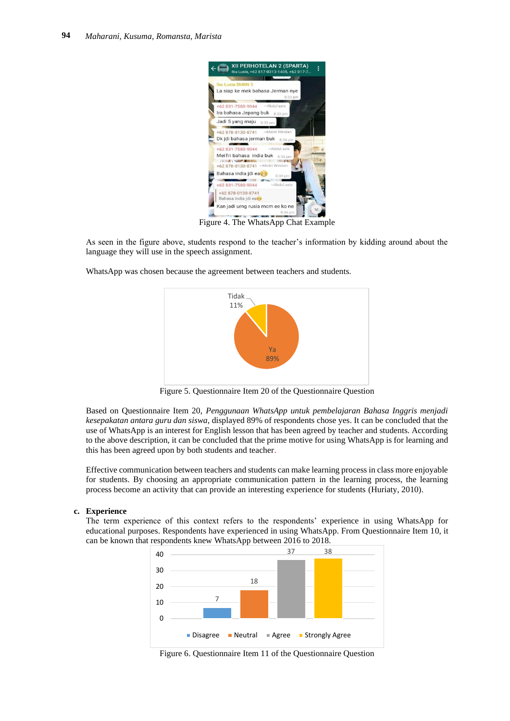

Figure 4. The WhatsApp Chat Example

As seen in the figure above, students respond to the teacher's information by kidding around about the language they will use in the speech assignment.

WhatsApp was chosen because the agreement between teachers and students.



Figure 5. Questionnaire Item 20 of the Questionnaire Question

Based on Questionnaire Item 20, *Penggunaan WhatsApp untuk pembelajaran Bahasa Inggris menjadi kesepakatan antara guru dan siswa*, displayed 89% of respondents chose yes. It can be concluded that the use of WhatsApp is an interest for English lesson that has been agreed by teacher and students. According to the above description, it can be concluded that the prime motive for using WhatsApp is for learning and this has been agreed upon by both students and teacher.

Effective communication between teachers and students can make learning process in class more enjoyable for students. By choosing an appropriate communication pattern in the learning process, the learning process become an activity that can provide an interesting experience for students (Huriaty, 2010).

#### **c. Experience**

The term experience of this context refers to the respondents' experience in using WhatsApp for educational purposes. Respondents have experienced in using WhatsApp. From Questionnaire Item 10, it can be known that respondents knew WhatsApp between 2016 to 2018.



Figure 6. Questionnaire Item 11 of the Questionnaire Question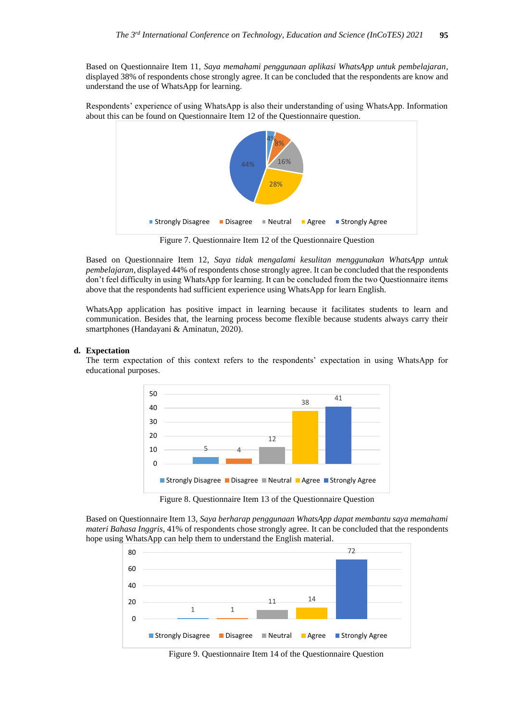Based on Questionnaire Item 11, *Saya memahami penggunaan aplikasi WhatsApp untuk pembelajaran*, displayed 38% of respondents chose strongly agree. It can be concluded that the respondents are know and understand the use of WhatsApp for learning.

Respondents' experience of using WhatsApp is also their understanding of using WhatsApp. Information about this can be found on Questionnaire Item 12 of the Questionnaire question.



Figure 7. Questionnaire Item 12 of the Questionnaire Question

Based on Questionnaire Item 12, *Saya tidak mengalami kesulitan menggunakan WhatsApp untuk pembelajaran*, displayed 44% of respondents chose strongly agree. It can be concluded that the respondents don't feel difficulty in using WhatsApp for learning. It can be concluded from the two Questionnaire items above that the respondents had sufficient experience using WhatsApp for learn English.

WhatsApp application has positive impact in learning because it facilitates students to learn and communication. Besides that, the learning process become flexible because students always carry their smartphones (Handayani & Aminatun, 2020).

#### **d. Expectation**

The term expectation of this context refers to the respondents' expectation in using WhatsApp for educational purposes.



Figure 8. Questionnaire Item 13 of the Questionnaire Question

Based on Questionnaire Item 13, *Saya berharap penggunaan WhatsApp dapat membantu saya memahami materi Bahasa Inggris*, 41% of respondents chose strongly agree. It can be concluded that the respondents hope using WhatsApp can help them to understand the English material.



Figure 9. Questionnaire Item 14 of the Questionnaire Question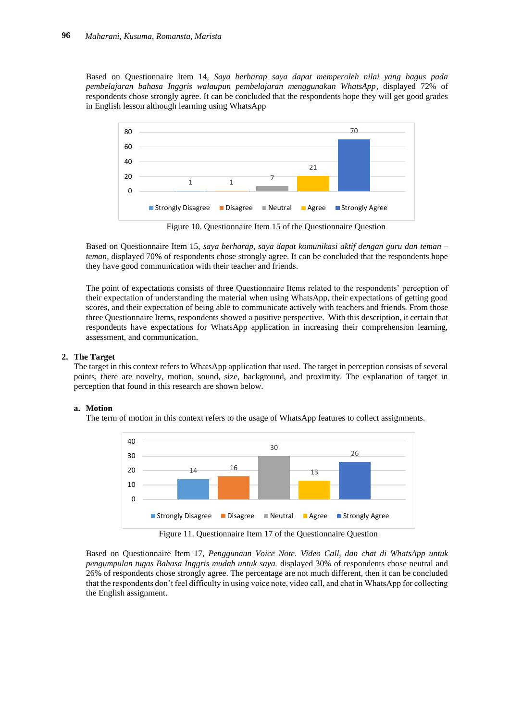Based on Questionnaire Item 14, *Saya berharap saya dapat memperoleh nilai yang bagus pada pembelajaran bahasa Inggris walaupun pembelajaran menggunakan WhatsApp*, displayed 72% of respondents chose strongly agree. It can be concluded that the respondents hope they will get good grades in English lesson although learning using WhatsApp



Figure 10. Questionnaire Item 15 of the Questionnaire Question

Based on Questionnaire Item 15, *saya berharap, saya dapat komunikasi aktif dengan guru dan teman – teman,* displayed 70% of respondents chose strongly agree. It can be concluded that the respondents hope they have good communication with their teacher and friends.

The point of expectations consists of three Questionnaire Items related to the respondents' perception of their expectation of understanding the material when using WhatsApp, their expectations of getting good scores, and their expectation of being able to communicate actively with teachers and friends. From those three Questionnaire Items, respondents showed a positive perspective. With this description, it certain that respondents have expectations for WhatsApp application in increasing their comprehension learning, assessment, and communication.

#### **2. The Target**

The target in this context refers to WhatsApp application that used. The target in perception consists of several points, there are novelty, motion, sound, size, background, and proximity. The explanation of target in perception that found in this research are shown below.

#### **a. Motion**

The term of motion in this context refers to the usage of WhatsApp features to collect assignments.



Figure 11. Questionnaire Item 17 of the Questionnaire Question

Based on Questionnaire Item 17, *Penggunaan Voice Note. Video Call, dan chat di WhatsApp untuk pengumpulan tugas Bahasa Inggris mudah untuk saya.* displayed 30% of respondents chose neutral and 26% of respondents chose strongly agree. The percentage are not much different, then it can be concluded that the respondents don't feel difficulty in using voice note, video call, and chat in WhatsApp for collecting the English assignment.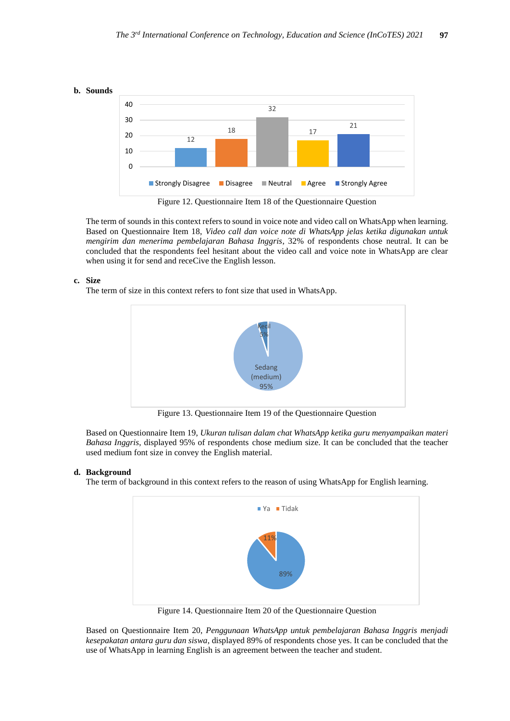



Figure 12. Questionnaire Item 18 of the Questionnaire Question

The term of sounds in this context refers to sound in voice note and video call on WhatsApp when learning. Based on Questionnaire Item 18, *Video call dan voice note di WhatsApp jelas ketika digunakan untuk mengirim dan menerima pembelajaran Bahasa Inggris*, 32% of respondents chose neutral. It can be concluded that the respondents feel hesitant about the video call and voice note in WhatsApp are clear when using it for send and receCive the English lesson.

#### **c. Size**

The term of size in this context refers to font size that used in WhatsApp.



Figure 13. Questionnaire Item 19 of the Questionnaire Question

Based on Questionnaire Item 19, *Ukuran tulisan dalam chat WhatsApp ketika guru menyampaikan materi Bahasa Inggris*, displayed 95% of respondents chose medium size. It can be concluded that the teacher used medium font size in convey the English material.

#### **d. Background**

The term of background in this context refers to the reason of using WhatsApp for English learning.



Figure 14. Questionnaire Item 20 of the Questionnaire Question

Based on Questionnaire Item 20, *Penggunaan WhatsApp untuk pembelajaran Bahasa Inggris menjadi kesepakatan antara guru dan siswa*, displayed 89% of respondents chose yes. It can be concluded that the use of WhatsApp in learning English is an agreement between the teacher and student.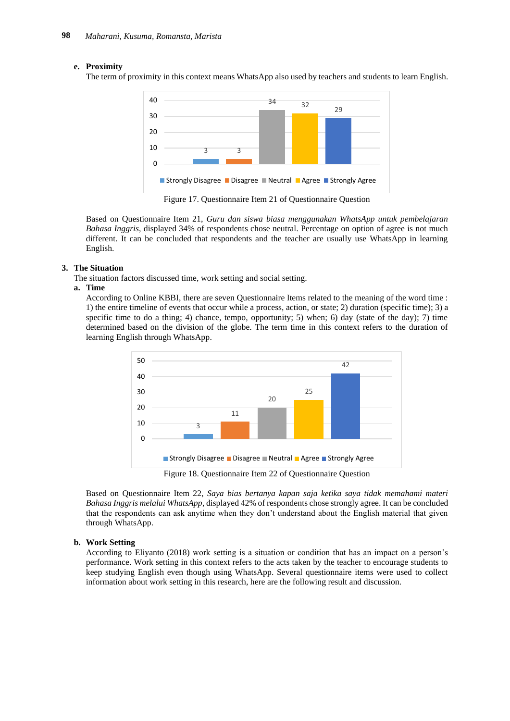#### **e. Proximity**

The term of proximity in this context means WhatsApp also used by teachers and students to learn English.



Figure 17. Questionnaire Item 21 of Questionnaire Question

Based on Questionnaire Item 21, *Guru dan siswa biasa menggunakan WhatsApp untuk pembelajaran Bahasa Inggris*, displayed 34% of respondents chose neutral. Percentage on option of agree is not much different. It can be concluded that respondents and the teacher are usually use WhatsApp in learning English.

#### **3. The Situation**

The situation factors discussed time, work setting and social setting.

#### **a. Time**

According to Online KBBI, there are seven Questionnaire Items related to the meaning of the word time : 1) the entire timeline of events that occur while a process, action, or state; 2) duration (specific time); 3) a specific time to do a thing; 4) chance, tempo, opportunity; 5) when; 6) day (state of the day); 7) time determined based on the division of the globe. The term time in this context refers to the duration of learning English through WhatsApp.



Based on Questionnaire Item 22, *Saya bias bertanya kapan saja ketika saya tidak memahami materi Bahasa Inggris melalui WhatsApp*, displayed 42% of respondents chose strongly agree. It can be concluded that the respondents can ask anytime when they don't understand about the English material that given through WhatsApp.

#### **b. Work Setting**

According to Eliyanto (2018) work setting is a situation or condition that has an impact on a person's performance. Work setting in this context refers to the acts taken by the teacher to encourage students to keep studying English even though using WhatsApp. Several questionnaire items were used to collect information about work setting in this research, here are the following result and discussion.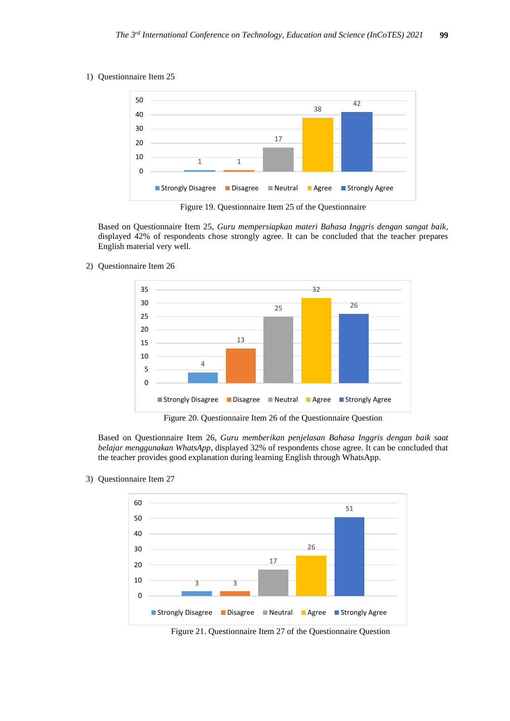1) Questionnaire Item 25



Figure 19. Questionnaire Item 25 of the Questionnaire

Based on Questionnaire Item 25, *Guru mempersiapkan materi Bahasa Inggris dengan sangat baik*, displayed 42% of respondents chose strongly agree. It can be concluded that the teacher prepares English material very well.

2) Questionnaire Item 26



Figure 20. Questionnaire Item 26 of the Questionnaire Question

Based on Questionnaire Item 26, *Guru memberikan penjelasan Bahasa Inggris dengan baik saat belajar menggunakan WhatsApp*, displayed 32% of respondents chose agree. It can be concluded that the teacher provides good explanation during learning English through WhatsApp.

3) Questionnaire Item 27



Figure 21. Questionnaire Item 27 of the Questionnaire Question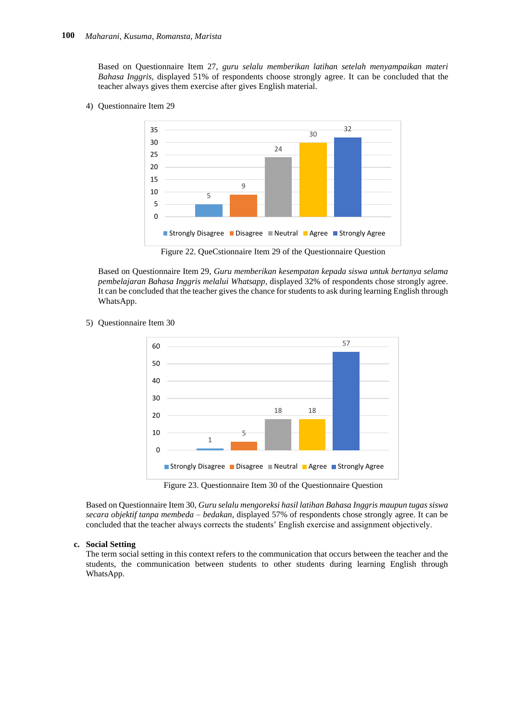Based on Questionnaire Item 27, *guru selalu memberikan latihan setelah menyampaikan materi Bahasa Inggris,* displayed 51% of respondents choose strongly agree. It can be concluded that the teacher always gives them exercise after gives English material.

4) Questionnaire Item 29



Figure 22. QueCstionnaire Item 29 of the Questionnaire Question

Based on Questionnaire Item 29, *Guru memberikan kesempatan kepada siswa untuk bertanya selama pembelajaran Bahasa Inggris melalui Whatsapp,* displayed 32% of respondents chose strongly agree. It can be concluded that the teacher gives the chance for students to ask during learning English through WhatsApp.

5) Questionnaire Item 30



Based on Questionnaire Item 30, *Guru selalu mengoreksi hasil latihan Bahasa Inggris maupun tugas siswa secara objektif tanpa membeda – bedakan,* displayed 57% of respondents chose strongly agree. It can be concluded that the teacher always corrects the students' English exercise and assignment objectively.

#### **c. Social Setting**

The term social setting in this context refers to the communication that occurs between the teacher and the students, the communication between students to other students during learning English through WhatsApp.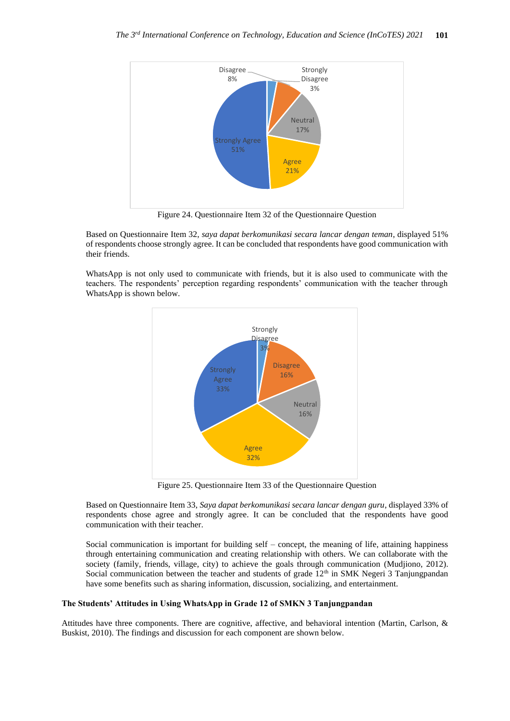

Figure 24. Questionnaire Item 32 of the Questionnaire Question

Based on Questionnaire Item 32, *saya dapat berkomunikasi secara lancar dengan teman*, displayed 51% of respondents choose strongly agree. It can be concluded that respondents have good communication with their friends.

WhatsApp is not only used to communicate with friends, but it is also used to communicate with the teachers. The respondents' perception regarding respondents' communication with the teacher through WhatsApp is shown below.



Figure 25. Questionnaire Item 33 of the Questionnaire Question

Based on Questionnaire Item 33, *Saya dapat berkomunikasi secara lancar dengan guru*, displayed 33% of respondents chose agree and strongly agree. It can be concluded that the respondents have good communication with their teacher.

Social communication is important for building self – concept, the meaning of life, attaining happiness through entertaining communication and creating relationship with others. We can collaborate with the society (family, friends, village, city) to achieve the goals through communication (Mudjiono, 2012). Social communication between the teacher and students of grade  $12<sup>th</sup>$  in SMK Negeri 3 Tanjungpandan have some benefits such as sharing information, discussion, socializing, and entertainment.

#### **The Students' Attitudes in Using WhatsApp in Grade 12 of SMKN 3 Tanjungpandan**

Attitudes have three components. There are cognitive, affective, and behavioral intention (Martin, Carlson, & Buskist, 2010). The findings and discussion for each component are shown below.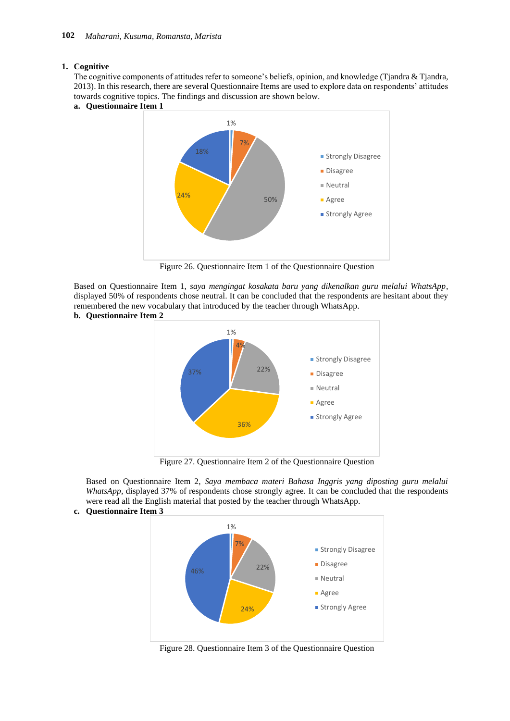#### **1. Cognitive**

The cognitive components of attitudes refer to someone's beliefs, opinion, and knowledge (Tjandra & Tjandra, 2013). In this research, there are several Questionnaire Items are used to explore data on respondents' attitudes towards cognitive topics. The findings and discussion are shown below.

**a. Questionnaire Item 1**



Figure 26. Questionnaire Item 1 of the Questionnaire Question

Based on Questionnaire Item 1, *saya mengingat kosakata baru yang dikenalkan guru melalui WhatsApp*, displayed 50% of respondents chose neutral. It can be concluded that the respondents are hesitant about they remembered the new vocabulary that introduced by the teacher through WhatsApp. **b. Questionnaire Item 2**



Figure 27. Questionnaire Item 2 of the Questionnaire Question

Based on Questionnaire Item 2, *Saya membaca materi Bahasa Inggris yang diposting guru melalui WhatsApp,* displayed 37% of respondents chose strongly agree. It can be concluded that the respondents were read all the English material that posted by the teacher through WhatsApp.

#### **c. Questionnaire Item 3**



Figure 28. Questionnaire Item 3 of the Questionnaire Question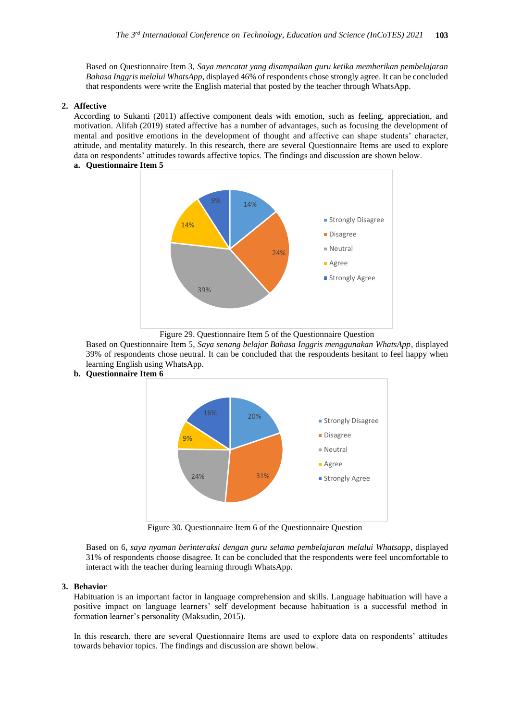Based on Questionnaire Item 3, *Saya mencatat yang disampaikan guru ketika memberikan pembelajaran Bahasa Inggris melalui WhatsApp*, displayed 46% of respondents chose strongly agree. It can be concluded that respondents were write the English material that posted by the teacher through WhatsApp.

#### **2. Affective**

According to Sukanti (2011) affective component deals with emotion, such as feeling, appreciation, and motivation. Alifah (2019) stated affective has a number of advantages, such as focusing the development of mental and positive emotions in the development of thought and affective can shape students' character, attitude, and mentality maturely. In this research, there are several Questionnaire Items are used to explore data on respondents' attitudes towards affective topics. The findings and discussion are shown below. **a. Questionnaire Item 5**



Figure 29. Questionnaire Item 5 of the Questionnaire Question

Based on Questionnaire Item 5, *Saya senang belajar Bahasa Inggris menggunakan WhatsApp*, displayed 39% of respondents chose neutral. It can be concluded that the respondents hesitant to feel happy when learning English using WhatsApp.



**b. Questionnaire Item 6**

Figure 30. Questionnaire Item 6 of the Questionnaire Question

Based on 6, *saya nyaman berinteraksi dengan guru selama pembelajaran melalui Whatsapp*, displayed 31% of respondents choose disagree. It can be concluded that the respondents were feel uncomfortable to interact with the teacher during learning through WhatsApp.

#### **3. Behavior**

Habituation is an important factor in language comprehension and skills. Language habituation will have a positive impact on language learners' self development because habituation is a successful method in formation learner's personality (Maksudin, 2015).

In this research, there are several Questionnaire Items are used to explore data on respondents' attitudes towards behavior topics. The findings and discussion are shown below.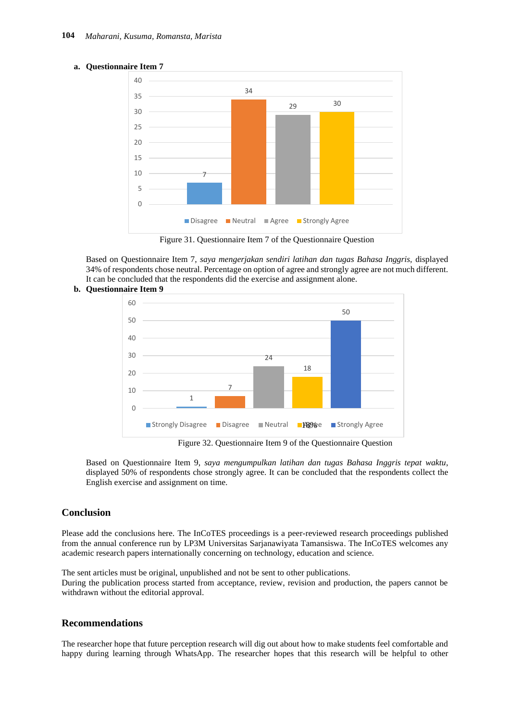

#### **a. Questionnaire Item 7**

Figure 31. Questionnaire Item 7 of the Questionnaire Question

Based on Questionnaire Item 7, *saya mengerjakan sendiri latihan dan tugas Bahasa Inggris,* displayed 34% of respondents chose neutral. Percentage on option of agree and strongly agree are not much different. It can be concluded that the respondents did the exercise and assignment alone.



## **b. Questionnaire Item 9**

Based on Questionnaire Item 9, *saya mengumpulkan latihan dan tugas Bahasa Inggris tepat waktu*, displayed 50% of respondents chose strongly agree. It can be concluded that the respondents collect the English exercise and assignment on time.

## **Conclusion**

Please add the conclusions here. The InCoTES proceedings is a peer-reviewed research proceedings published from the annual conference run by LP3M Universitas Sarjanawiyata Tamansiswa. The InCoTES welcomes any academic research papers internationally concerning on technology, education and science.

The sent articles must be original, unpublished and not be sent to other publications. During the publication process started from acceptance, review, revision and production, the papers cannot be withdrawn without the editorial approval.

## **Recommendations**

The researcher hope that future perception research will dig out about how to make students feel comfortable and happy during learning through WhatsApp. The researcher hopes that this research will be helpful to other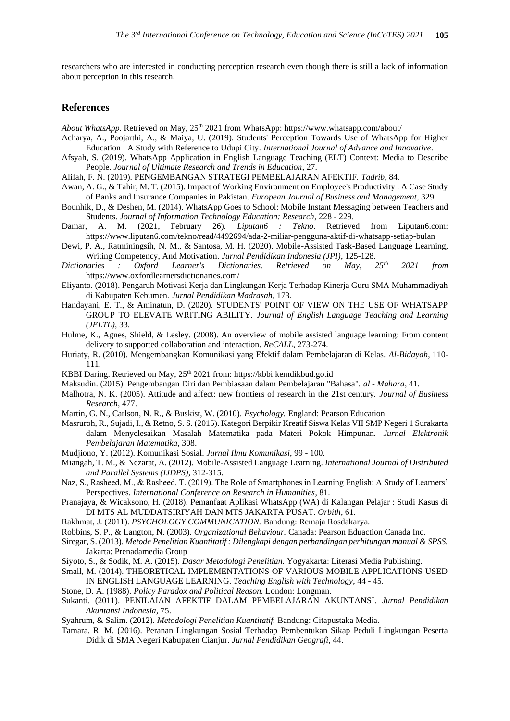researchers who are interested in conducting perception research even though there is still a lack of information about perception in this research.

## **References**

*About WhatsApp*. Retrieved on May, 25<sup>th</sup> 2021 from WhatsApp: https://www.whatsapp.com/about/

- Acharya, A., Poojarthi, A., & Maiya, U. (2019). Students' Perception Towards Use of WhatsApp for Higher Education : A Study with Reference to Udupi City. *International Journal of Advance and Innovative*.
- Afsyah, S. (2019). WhatsApp Application in English Language Teaching (ELT) Context: Media to Describe People. *Journal of Ultimate Research and Trends in Education*, 27.
- Alifah, F. N. (2019). PENGEMBANGAN STRATEGI PEMBELAJARAN AFEKTIF. *Tadrib*, 84.
- Awan, A. G., & Tahir, M. T. (2015). Impact of Working Environment on Employee's Productivity : A Case Study of Banks and Insurance Companies in Pakistan. *European Journal of Business and Management*, 329.
- Bounhik, D., & Deshen, M. (2014). WhatsApp Goes to School: Mobile Instant Messaging between Teachers and Students. *Journal of Information Technology Education: Research*, 228 - 229.
- Damar, A. M. (2021, February 26). *Liputan6 : Tekno*. Retrieved from Liputan6.com: https://www.liputan6.com/tekno/read/4492694/ada-2-miliar-pengguna-aktif-di-whatsapp-setiap-bulan
- Dewi, P. A., Ratminingsih, N. M., & Santosa, M. H. (2020). Mobile-Assisted Task-Based Language Learning, Writing Competency, And Motivation. *Jurnal Pendidikan Indonesia (JPI)*, 125-128.<br>*naries* : Oxford Learner's Dictionaries. Retrieved on May 25<sup>th</sup>
- *Dictionaries : Oxford Learner's Dictionaries. Retrieved on May, 25th 2021 from*  https://www.oxfordlearnersdictionaries.com/
- Eliyanto. (2018). Pengaruh Motivasi Kerja dan Lingkungan Kerja Terhadap Kinerja Guru SMA Muhammadiyah di Kabupaten Kebumen. *Jurnal Pendidikan Madrasah*, 173.
- Handayani, E. T., & Aminatun, D. (2020). STUDENTS' POINT OF VIEW ON THE USE OF WHATSAPP GROUP TO ELEVATE WRITING ABILITY. *Journal of English Language Teaching and Learning (JELTL)*, 33.
- Hulme, K., Agnes, Shield, & Lesley. (2008). An overview of mobile assisted language learning: From content delivery to supported collaboration and interaction. *ReCALL*, 273-274.
- Huriaty, R. (2010). Mengembangkan Komunikasi yang Efektif dalam Pembelajaran di Kelas. *Al-Bidayah*, 110- 111.
- KBBI Daring. Retrieved on May,  $25<sup>th</sup> 2021$  from: https://kbbi.kemdikbud.go.id
- Maksudin. (2015). Pengembangan Diri dan Pembiasaan dalam Pembelajaran "Bahasa". *al - Mahara*, 41.
- Malhotra, N. K. (2005). Attitude and affect: new frontiers of research in the 21st century. *Journal of Business Research*, 477.
- Martin, G. N., Carlson, N. R., & Buskist, W. (2010). *Psychology.* England: Pearson Education.
- Masruroh, R., Sujadi, I., & Retno, S. S. (2015). Kategori Berpikir Kreatif Siswa Kelas VII SMP Negeri 1 Surakarta dalam Menyelesaikan Masalah Matematika pada Materi Pokok Himpunan. *Jurnal Elektronik Pembelajaran Matematika*, 308.
- Mudjiono, Y. (2012). Komunikasi Sosial. *Jurnal Ilmu Komunikasi*, 99 100.
- Miangah, T. M., & Nezarat, A. (2012). Mobile-Assisted Language Learning. *International Journal of Distributed and Parallel Systems (IJDPS)*, 312-315.
- Naz, S., Rasheed, M., & Rasheed, T. (2019). The Role of Smartphones in Learning English: A Study of Learners' Perspectives. *International Conference on Research in Humanities*, 81.
- Pranajaya, & Wicaksono, H. (2018). Pemanfaat Aplikasi WhatsApp (WA) di Kalangan Pelajar : Studi Kasus di DI MTS AL MUDDATSIRIYAH DAN MTS JAKARTA PUSAT. *Orbith*, 61.
- Rakhmat, J. (2011). *PSYCHOLOGY COMMUNICATION.* Bandung: Remaja Rosdakarya.
- Robbins, S. P., & Langton, N. (2003). *Organizational Behaviour.* Canada: Pearson Eduaction Canada Inc.
- Siregar, S. (2013). *Metode Penelitian Kuantitatif : Dilengkapi dengan perbandingan perhitungan manual & SPSS.* Jakarta: Prenadamedia Group
- Siyoto, S., & Sodik, M. A. (2015). *Dasar Metodologi Penelitian.* Yogyakarta: Literasi Media Publishing.
- Small, M. (2014). THEORETICAL IMPLEMENTATIONS OF VARIOUS MOBILE APPLICATIONS USED IN ENGLISH LANGUAGE LEARNING. *Teaching English with Technology*, 44 - 45.
- Stone, D. A. (1988). *Policy Paradox and Political Reason.* London: Longman.
- Sukanti. (2011). PENILAIAN AFEKTIF DALAM PEMBELAJARAN AKUNTANSI. *Jurnal Pendidikan Akuntansi Indonesia*, 75.
- Syahrum, & Salim. (2012). *Metodologi Penelitian Kuantitatif.* Bandung: Citapustaka Media.
- Tamara, R. M. (2016). Peranan Lingkungan Sosial Terhadap Pembentukan Sikap Peduli Lingkungan Peserta Didik di SMA Negeri Kabupaten Cianjur. *Jurnal Pendidikan Geografi*, 44.